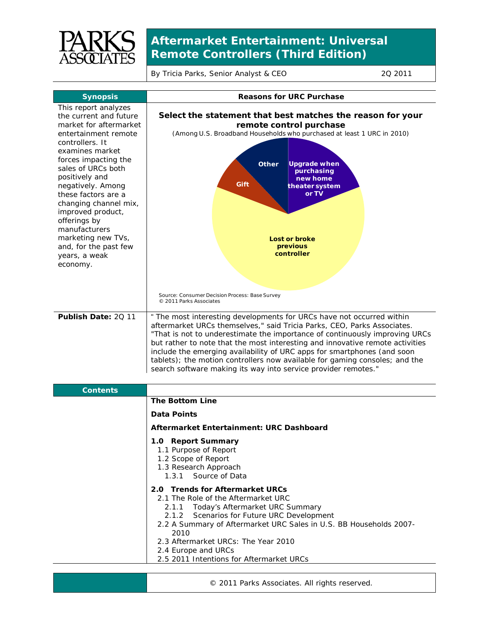

## **Aftermarket Entertainment: Universal Remote Controllers (Third Edition)**

By Tricia Parks, Senior Analyst & CEO 2011

| <b>Synopsis</b>                                                                                                                                                                                                                                                                                                                                                                                               | <b>Reasons for URC Purchase</b>                                                                                                                                                                                                                                                                                                                                                                                                                                                                                                              |
|---------------------------------------------------------------------------------------------------------------------------------------------------------------------------------------------------------------------------------------------------------------------------------------------------------------------------------------------------------------------------------------------------------------|----------------------------------------------------------------------------------------------------------------------------------------------------------------------------------------------------------------------------------------------------------------------------------------------------------------------------------------------------------------------------------------------------------------------------------------------------------------------------------------------------------------------------------------------|
| This report analyzes<br>the current and future<br>market for aftermarket<br>entertainment remote<br>controllers. It<br>examines market<br>forces impacting the<br>sales of URCs both<br>positively and<br>negatively. Among<br>these factors are a<br>changing channel mix,<br>improved product,<br>offerings by<br>manufacturers<br>marketing new TVs,<br>and, for the past few<br>years, a weak<br>economy. | Select the statement that best matches the reason for your<br>remote control purchase<br>(Among U.S. Broadband Households who purchased at least 1 URC in 2010)<br><b>Upgrade when</b><br><b>Other</b><br>purchasing<br>new home<br>Gift<br>theater system<br>or TV<br>Lost or broke<br>previous<br>controller<br>Source: Consumer Decision Process: Base Survey<br>© 2011 Parks Associates                                                                                                                                                  |
| Publish Date: 20 11                                                                                                                                                                                                                                                                                                                                                                                           | " The most interesting developments for URCs have not occurred within<br>aftermarket URCs themselves," said Tricia Parks, CEO, Parks Associates.<br>"That is not to underestimate the importance of continuously improving URCs<br>but rather to note that the most interesting and innovative remote activities<br>include the emerging availability of URC apps for smartphones (and soon<br>tablets); the motion controllers now available for gaming consoles; and the<br>search software making its way into service provider remotes." |
| <b>Contents</b>                                                                                                                                                                                                                                                                                                                                                                                               |                                                                                                                                                                                                                                                                                                                                                                                                                                                                                                                                              |
|                                                                                                                                                                                                                                                                                                                                                                                                               | <b>The Bottom Line</b>                                                                                                                                                                                                                                                                                                                                                                                                                                                                                                                       |
|                                                                                                                                                                                                                                                                                                                                                                                                               | <b>Data Points</b>                                                                                                                                                                                                                                                                                                                                                                                                                                                                                                                           |
|                                                                                                                                                                                                                                                                                                                                                                                                               | Aftermarket Entertainment: URC Dashboard                                                                                                                                                                                                                                                                                                                                                                                                                                                                                                     |
|                                                                                                                                                                                                                                                                                                                                                                                                               | 1.0 Report Summary<br>1.1 Purpose of Report<br>1.2 Scope of Report<br>1.3 Research Approach<br>Source of Data<br>1.3.1                                                                                                                                                                                                                                                                                                                                                                                                                       |
|                                                                                                                                                                                                                                                                                                                                                                                                               | 2.0 Trends for Aftermarket URCs<br>2.1 The Role of the Aftermarket URC<br>Today's Aftermarket URC Summary<br>2.1.1<br>2.1.2<br>Scenarios for Future URC Development<br>2.2 A Summary of Aftermarket URC Sales in U.S. BB Households 2007-<br>2010<br>2.3 Aftermarket URCs: The Year 2010<br>2.4 Europe and URCs                                                                                                                                                                                                                              |

2.5 2011 Intentions for Aftermarket URCs

© 2011 Parks Associates. All rights reserved.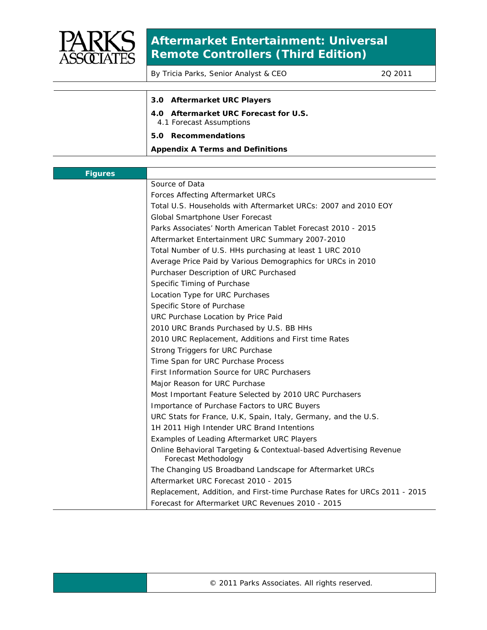

## **Aftermarket Entertainment: Universal Remote Controllers (Third Edition)**

By Tricia Parks, Senior Analyst & CEO 2011

| 3.0 Aftermarket URC Players                                       |
|-------------------------------------------------------------------|
| 4.0 Aftermarket URC Forecast for U.S.<br>4.1 Forecast Assumptions |
| 5.0 Recommendations                                               |
| <b>Appendix A Terms and Definitions</b>                           |
|                                                                   |

| <b>Figures</b> |                                                                                            |
|----------------|--------------------------------------------------------------------------------------------|
|                | Source of Data                                                                             |
|                | Forces Affecting Aftermarket URCs                                                          |
|                | Total U.S. Households with Aftermarket URCs: 2007 and 2010 EOY                             |
|                | Global Smartphone User Forecast                                                            |
|                | Parks Associates' North American Tablet Forecast 2010 - 2015                               |
|                | Aftermarket Entertainment URC Summary 2007-2010                                            |
|                | Total Number of U.S. HHs purchasing at least 1 URC 2010                                    |
|                | Average Price Paid by Various Demographics for URCs in 2010                                |
|                | Purchaser Description of URC Purchased                                                     |
|                | Specific Timing of Purchase                                                                |
|                | Location Type for URC Purchases                                                            |
|                | Specific Store of Purchase                                                                 |
|                | URC Purchase Location by Price Paid                                                        |
|                | 2010 URC Brands Purchased by U.S. BB HHs                                                   |
|                | 2010 URC Replacement, Additions and First time Rates                                       |
|                | Strong Triggers for URC Purchase                                                           |
|                | Time Span for URC Purchase Process                                                         |
|                | First Information Source for URC Purchasers                                                |
|                | Major Reason for URC Purchase                                                              |
|                | Most Important Feature Selected by 2010 URC Purchasers                                     |
|                | Importance of Purchase Factors to URC Buyers                                               |
|                | URC Stats for France, U.K, Spain, Italy, Germany, and the U.S.                             |
|                | 1H 2011 High Intender URC Brand Intentions                                                 |
|                | Examples of Leading Aftermarket URC Players                                                |
|                | Online Behavioral Targeting & Contextual-based Advertising Revenue<br>Forecast Methodology |
|                | The Changing US Broadband Landscape for Aftermarket URCs                                   |
|                | Aftermarket URC Forecast 2010 - 2015                                                       |
|                | Replacement, Addition, and First-time Purchase Rates for URCs 2011 - 2015                  |
|                | Forecast for Aftermarket URC Revenues 2010 - 2015                                          |